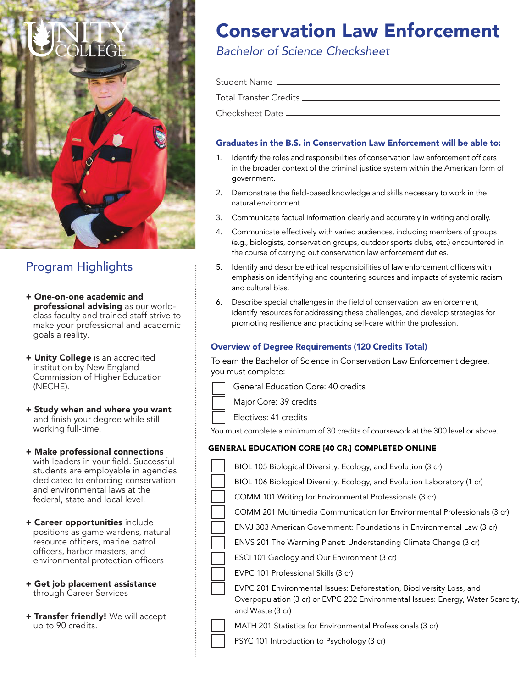

# Program Highlights

- + One-on-one academic and professional advising as our world class faculty and trained staff strive to make your professional and academic goals a reality.
- + Unity College is an accredited institution by New England Commission of Higher Education (NECHE).
- + Study when and where you want and finish your degree while still working full-time.
- + Make professional connections with leaders in your field. Successful students are employable in agencies dedicated to enforcing conservation and environmental laws at the federal, state and local level.
- + Career opportunities include positions as game wardens, natural resource officers, marine patrol officers, harbor masters, and environmental protection officers
- + Get job placement assistance through Career Services
- + Transfer friendly! We will accept up to 90 credits.

# Conservation Law Enforcement

# *Bachelor of Science Checksheet*

| Student Name _______________________________ |  |
|----------------------------------------------|--|
| Total Transfer Credits _____                 |  |
| Checksheet Date _                            |  |

# Graduates in the B.S. in Conservation Law Enforcement will be able to:

- 1. Identify the roles and responsibilities of conservation law enforcement officers in the broader context of the criminal justice system within the American form of government.
- 2. Demonstrate the field-based knowledge and skills necessary to work in the natural environment.
- 3. Communicate factual information clearly and accurately in writing and orally.
- 4. Communicate effectively with varied audiences, including members of groups (e.g., biologists, conservation groups, outdoor sports clubs, etc.) encountered in the course of carrying out conservation law enforcement duties.
- 5. Identify and describe ethical responsibilities of law enforcement officers with emphasis on identifying and countering sources and impacts of systemic racism and cultural bias.
- 6. Describe special challenges in the field of conservation law enforcement, identify resources for addressing these challenges, and develop strategies for promoting resilience and practicing self-care within the profession.

## Overview of Degree Requirements (120 Credits Total)

To earn the Bachelor of Science in Conservation Law Enforcement degree, you must complete:

|  | General Education Core: 40 credits |  |  |  |  |
|--|------------------------------------|--|--|--|--|
|--|------------------------------------|--|--|--|--|

Major Core: 39 credits

Electives: 41 credits

You must complete a minimum of 30 credits of coursework at the 300 level or above.

## GENERAL EDUCATION CORE [40 CR.] COMPLETED ONLINE

- BIOL 105 Biological Diversity, Ecology, and Evolution (3 cr)
- BIOL 106 Biological Diversity, Ecology, and Evolution Laboratory (1 cr)
- COMM 101 Writing for Environmental Professionals (3 cr)
- COMM 201 Multimedia Communication for Environmental Professionals (3 cr)
- ENVJ 303 American Government: Foundations in Environmental Law (3 cr)
- ENVS 201 The Warming Planet: Understanding Climate Change (3 cr)
- ESCI 101 Geology and Our Environment (3 cr)
- EVPC 101 Professional Skills (3 cr)
- EVPC 201 Environmental Issues: Deforestation, Biodiversity Loss, and Overpopulation (3 cr) or EVPC 202 Environmental Issues: Energy, Water Scarcity, and Waste (3 cr)
- 

MATH 201 Statistics for Environmental Professionals (3 cr)

PSYC 101 Introduction to Psychology (3 cr)